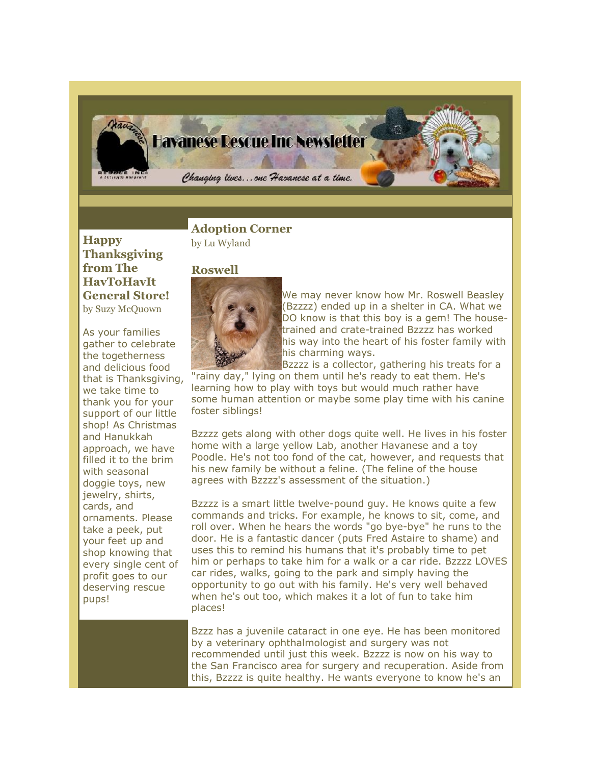

**Happy Thanksgiving from The HavToHavIt General Store!** by Suzy McQuown

As your families gather to celebrate the togetherness and delicious food that is Thanksgiving, we take time to thank you for your support of our little shop! As Christmas and Hanukkah approach, we have filled it to the brim with seasonal doggie toys, new jewelry, shirts, cards, and ornaments. Please take a peek, put your feet up and shop knowing that every single cent of profit goes to our deserving rescue pups!

**Adoption Corner** by Lu Wyland

## **Roswell**



We may never know how Mr. Roswell Beasley (Bzzzz) ended up in a shelter in CA. What we DO know is that this boy is a gem! The housetrained and crate-trained Bzzzz has worked his way into the heart of his foster family with his charming ways.

Bzzzz is a collector, gathering his treats for a "rainy day," lying on them until he's ready to eat them. He's learning how to play with toys but would much rather have some human attention or maybe some play time with his canine foster siblings!

Bzzzz gets along with other dogs quite well. He lives in his foster home with a large yellow Lab, another Havanese and a toy Poodle. He's not too fond of the cat, however, and requests that his new family be without a feline. (The feline of the house agrees with Bzzzz's assessment of the situation.)

Bzzzz is a smart little twelve-pound guy. He knows quite a few commands and tricks. For example, he knows to sit, come, and roll over. When he hears the words "go bye-bye" he runs to the door. He is a fantastic dancer (puts Fred Astaire to shame) and uses this to remind his humans that it's probably time to pet him or perhaps to take him for a walk or a car ride. Bzzzz LOVES car rides, walks, going to the park and simply having the opportunity to go out with his family. He's very well behaved when he's out too, which makes it a lot of fun to take him places!

Bzzz has a juvenile cataract in one eye. He has been monitored by a veterinary ophthalmologist and surgery was not recommended until just this week. Bzzzz is now on his way to the San Francisco area for surgery and recuperation. Aside from this, Bzzzz is quite healthy. He wants everyone to know he's an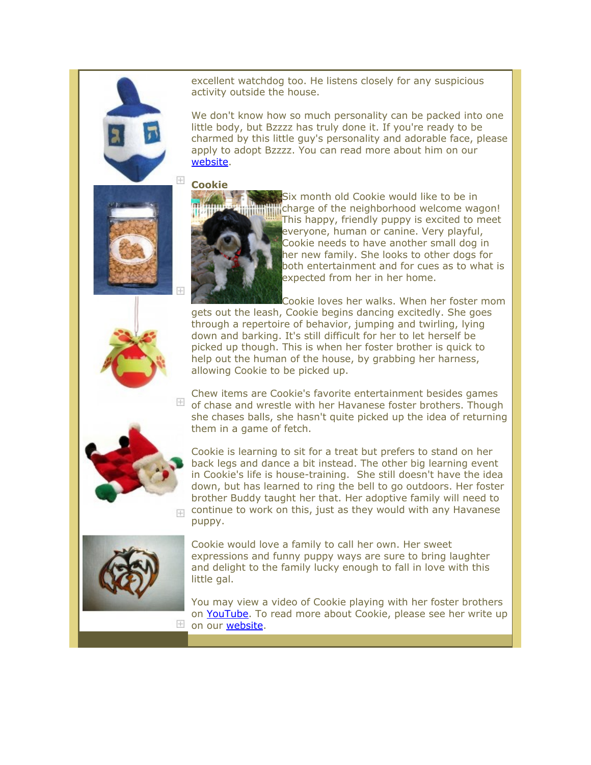excellent watchdog too. He listens closely for any suspicious activity outside the house.

We don't know how so much personality can be packed into one little body, but Bzzzz has truly done it. If you're ready to be charmed by this little guy's personality and adorable face, please apply to adopt Bzzzz. You can read more about him on our [website.](http://rs6.net/tn.jsp?et=1102841843017&s=2126&e=0012fIs11DMXVvQLk84ogLd6wF0ogwnhUtzWAIELf2PBKWEi9CN6J7Kb-_HtyvEZVXLLhAx1r0hN4b5oMen3TvUijk7ZhPOeDZ81e9X3HwFDw9DIoSR5cQpOa7VYDrA6rEaN5zicKWHj-kbNaSWLQ1nOKvtvk5Q8cJDH4v76WmTUnNdDb9ZUoh1LiPRJzCET6PtXaIqNHJXV1w0l2_vZTxyqgN77OCmDhsruj-KO3SEjaAT1x_omz4Mp6yn6LjkhgHb8gMjufPv44yQZmCCj-dZ_E4kr-PaXK9a)



**Cookie**



Six month old Cookie would like to be in **charge of the neighborhood welcome wagon!** This happy, friendly puppy is excited to meet everyone, human or canine. Very playful, Cookie needs to have another small dog in her new family. She looks to other dogs for both entertainment and for cues as to what is expected from her in her home.

Cookie loves her walks. When her foster mom gets out the leash, Cookie begins dancing excitedly. She goes through a repertoire of behavior, jumping and twirling, lying down and barking. It's still difficult for her to let herself be picked up though. This is when her foster brother is quick to help out the human of the house, by grabbing her harness, allowing Cookie to be picked up.

Chew items are Cookie's favorite entertainment besides games  $\mathbb {H}$  of chase and wrestle with her Havanese foster brothers. Though she chases balls, she hasn't quite picked up the idea of returning them in a game of fetch.



 $+$ 

 $+$ 

Cookie is learning to sit for a treat but prefers to stand on her back legs and dance a bit instead. The other big learning event in Cookie's life is house-training. She still doesn't have the idea down, but has learned to ring the bell to go outdoors. Her foster brother Buddy taught her that. Her adoptive family will need to continue to work on this, just as they would with any Havanese puppy.



Cookie would love a family to call her own. Her sweet expressions and funny puppy ways are sure to bring laughter and delight to the family lucky enough to fall in love with this little gal.

You may view a video of Cookie playing with her foster brothers on [YouTube.](http://rs6.net/tn.jsp?et=1102841843017&s=2126&e=0012fIs11DMXVvbnE8peapS9BMcSrSpQ-maauZD74dRk3ZUA6bRK1kcdqygV5pfrbVD4-mTIAXwO-sPXE5UK02TJ7aLF1X1WwsVCts8HhvRg4fFD58EErY1U8yTnLf-CxIHSvnidQfGKwM_CvX6xUwlvg==) To read more about Cookie, please see her write up on our [website.](http://rs6.net/tn.jsp?et=1102841843017&s=2126&e=0012fIs11DMXVvrU-VjQO1rtItwJSG7uDTxI84Z0CK3Ri3Gy2yS2oNkJZPTF4PvUEQT59LmQHoe95G8kJ2qJVgHxHp6Bw4SjxqtOa_Boz9NcW7IyMKzN_Sq5E62lxD2uQYQ-ff5wGnNQnDZdYYCDqcLDrwhsxMGpLk_umUZqIBqHCCssxJoZl6oKOYTnpMq_ChxEBX0JwBA7VIJ61oQcNIWvqr-O0ZgaBi44s7S8_BEi1wIi5ZEXLO9HUH7uyp-1z2AGOraFHzsWT8D2ju7EuH5NA==)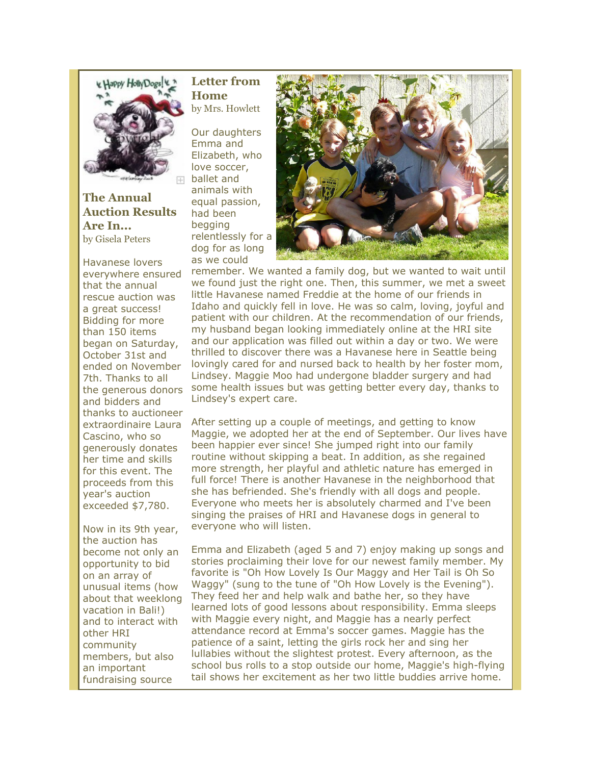

**The Annual Auction Results Are In...** by Gisela Peters

Havanese lovers everywhere ensured that the annual rescue auction was a great success! Bidding for more than 150 items began on Saturday, October 31st and ended on November 7th. Thanks to all the generous donors and bidders and thanks to auctioneer extraordinaire Laura Cascino, who so generously donates her time and skills for this event. The proceeds from this year's auction exceeded \$7,780.

Now in its 9th year, the auction has become not only an opportunity to bid on an array of unusual items (how about that weeklong vacation in Bali!) and to interact with other HRI community members, but also an important fundraising source

## **Letter from Home** by Mrs. Howlett

Our daughters Emma and Elizabeth, who love soccer, ballet and animals with equal passion, had been begging relentlessly for a dog for as long as we could



remember. We wanted a family dog, but we wanted to wait until we found just the right one. Then, this summer, we met a sweet little Havanese named Freddie at the home of our friends in Idaho and quickly fell in love. He was so calm, loving, joyful and patient with our children. At the recommendation of our friends, my husband began looking immediately online at the HRI site and our application was filled out within a day or two. We were thrilled to discover there was a Havanese here in Seattle being lovingly cared for and nursed back to health by her foster mom, Lindsey. Maggie Moo had undergone bladder surgery and had some health issues but was getting better every day, thanks to Lindsey's expert care.

After setting up a couple of meetings, and getting to know Maggie, we adopted her at the end of September. Our lives have been happier ever since! She jumped right into our family routine without skipping a beat. In addition, as she regained more strength, her playful and athletic nature has emerged in full force! There is another Havanese in the neighborhood that she has befriended. She's friendly with all dogs and people. Everyone who meets her is absolutely charmed and I've been singing the praises of HRI and Havanese dogs in general to everyone who will listen.

Emma and Elizabeth (aged 5 and 7) enjoy making up songs and stories proclaiming their love for our newest family member. My favorite is "Oh How Lovely Is Our Maggy and Her Tail is Oh So Waggy" (sung to the tune of "Oh How Lovely is the Evening"). They feed her and help walk and bathe her, so they have learned lots of good lessons about responsibility. Emma sleeps with Maggie every night, and Maggie has a nearly perfect attendance record at Emma's soccer games. Maggie has the patience of a saint, letting the girls rock her and sing her lullabies without the slightest protest. Every afternoon, as the school bus rolls to a stop outside our home, Maggie's high-flying tail shows her excitement as her two little buddies arrive home.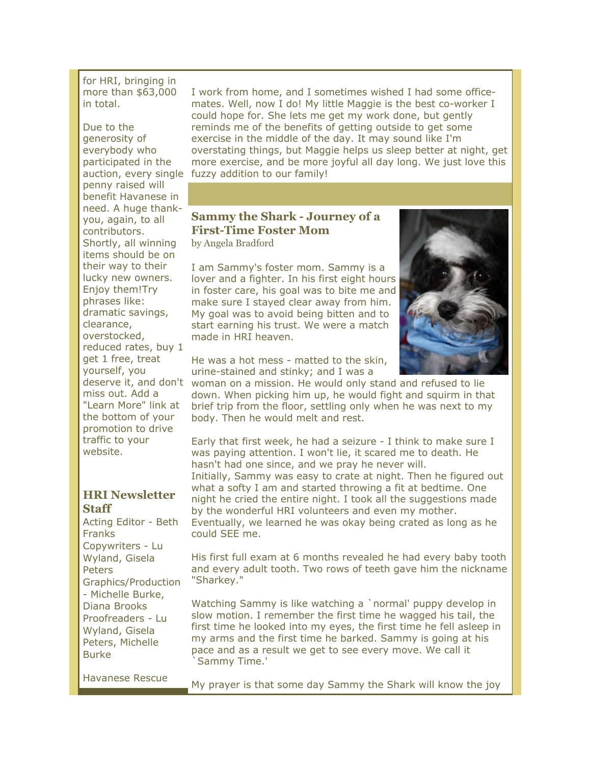for HRI, bringing in more than \$63,000 in total.

Due to the generosity of everybody who participated in the penny raised will benefit Havanese in need. A huge thankyou, again, to all contributors. Shortly, all winning items should be on their way to their lucky new owners. Enjoy them!Try phrases like: dramatic savings, clearance, overstocked, reduced rates, buy 1 get 1 free, treat yourself, you miss out. Add a "Learn More" link at the bottom of your promotion to drive traffic to your website.

## **HRI Newsletter Staff**

Acting Editor - Beth Franks Copywriters - Lu Wyland, Gisela **Peters** Graphics/Production - Michelle Burke, Diana Brooks Proofreaders - Lu Wyland, Gisela Peters, Michelle Burke

Havanese Rescue

auction, every single fuzzy addition to our family! I work from home, and I sometimes wished I had some officemates. Well, now I do! My little Maggie is the best co-worker I could hope for. She lets me get my work done, but gently reminds me of the benefits of getting outside to get some exercise in the middle of the day. It may sound like I'm overstating things, but Maggie helps us sleep better at night, get more exercise, and be more joyful all day long. We just love this

## **Sammy the Shark - Journey of a First-Time Foster Mom**

by Angela Bradford

I am Sammy's foster mom. Sammy is a lover and a fighter. In his first eight hours in foster care, his goal was to bite me and make sure I stayed clear away from him. My goal was to avoid being bitten and to start earning his trust. We were a match made in HRI heaven.



He was a hot mess - matted to the skin, urine-stained and stinky; and I was a

deserve it, and don't woman on a mission. He would only stand and refused to lie down. When picking him up, he would fight and squirm in that brief trip from the floor, settling only when he was next to my body. Then he would melt and rest.

> Early that first week, he had a seizure - I think to make sure I was paying attention. I won't lie, it scared me to death. He hasn't had one since, and we pray he never will. Initially, Sammy was easy to crate at night. Then he figured out what a softy I am and started throwing a fit at bedtime. One night he cried the entire night. I took all the suggestions made by the wonderful HRI volunteers and even my mother. Eventually, we learned he was okay being crated as long as he could SEE me.

His first full exam at 6 months revealed he had every baby tooth and every adult tooth. Two rows of teeth gave him the nickname "Sharkey."

Watching Sammy is like watching a `normal' puppy develop in slow motion. I remember the first time he wagged his tail, the first time he looked into my eyes, the first time he fell asleep in my arms and the first time he barked. Sammy is going at his pace and as a result we get to see every move. We call it `Sammy Time.'

My prayer is that some day Sammy the Shark will know the joy